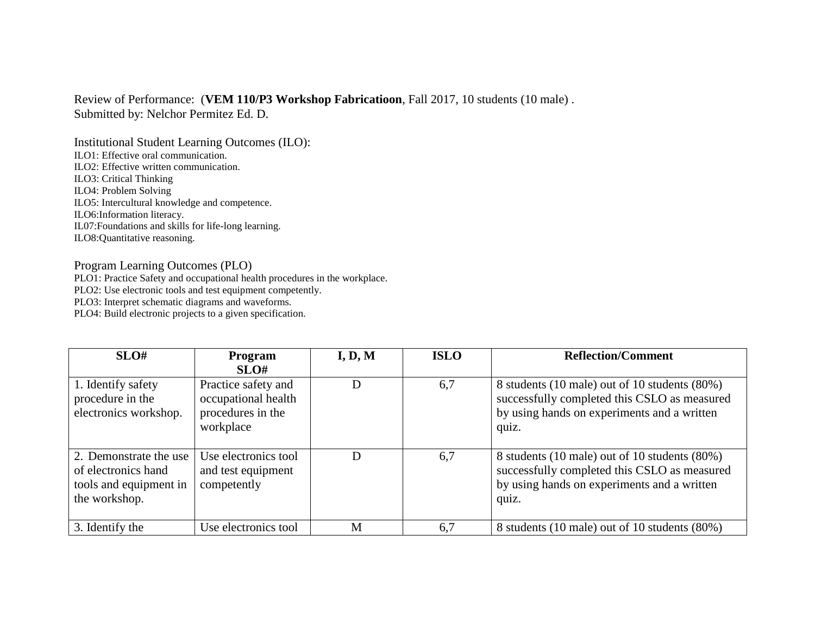## Review of Performance: (**VEM 110/P3 Workshop Fabricatioon**, Fall 2017, 10 students (10 male) . Submitted by: Nelchor Permitez Ed. D.

Institutional Student Learning Outcomes (ILO): ILO1: Effective oral communication. ILO2: Effective written communication. ILO3: Critical Thinking ILO4: Problem Solving ILO5: Intercultural knowledge and competence. ILO6:Information literacy. IL07:Foundations and skills for life-long learning. ILO8:Quantitative reasoning.

## Program Learning Outcomes (PLO)

PLO1: Practice Safety and occupational health procedures in the workplace.

PLO2: Use electronic tools and test equipment competently.

PLO3: Interpret schematic diagrams and waveforms.

PLO4: Build electronic projects to a given specification.

| SLO#                                                                                     | <b>Program</b><br>SLO#                                                       | I, D, M | <b>ISLO</b> | <b>Reflection/Comment</b>                                                                                                                             |
|------------------------------------------------------------------------------------------|------------------------------------------------------------------------------|---------|-------------|-------------------------------------------------------------------------------------------------------------------------------------------------------|
| 1. Identify safety<br>procedure in the<br>electronics workshop.                          | Practice safety and<br>occupational health<br>procedures in the<br>workplace | D       | 6,7         | 8 students (10 male) out of 10 students (80%)<br>successfully completed this CSLO as measured<br>by using hands on experiments and a written<br>quiz. |
| 2. Demonstrate the use<br>of electronics hand<br>tools and equipment in<br>the workshop. | Use electronics tool<br>and test equipment<br>competently                    | D       | 6,7         | 8 students (10 male) out of 10 students (80%)<br>successfully completed this CSLO as measured<br>by using hands on experiments and a written<br>quiz. |
| 3. Identify the                                                                          | Use electronics tool                                                         | M       | 6,7         | 8 students (10 male) out of 10 students (80%)                                                                                                         |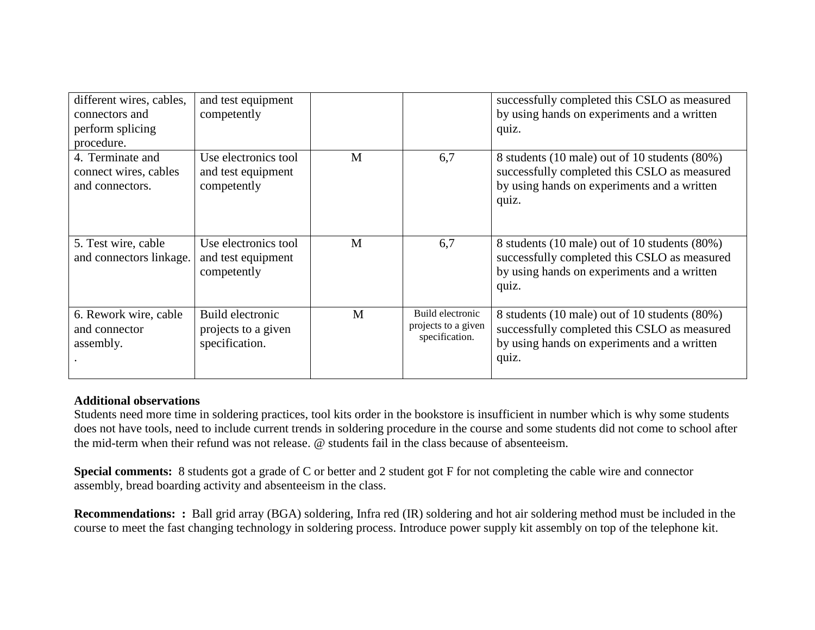| different wires, cables,<br>connectors and<br>perform splicing<br>procedure. | and test equipment<br>competently                         |   |                                                           | successfully completed this CSLO as measured<br>by using hands on experiments and a written<br>quiz.                                                  |
|------------------------------------------------------------------------------|-----------------------------------------------------------|---|-----------------------------------------------------------|-------------------------------------------------------------------------------------------------------------------------------------------------------|
| 4. Terminate and<br>connect wires, cables<br>and connectors.                 | Use electronics tool<br>and test equipment<br>competently | M | 6,7                                                       | 8 students (10 male) out of 10 students (80%)<br>successfully completed this CSLO as measured<br>by using hands on experiments and a written<br>quiz. |
| 5. Test wire, cable<br>and connectors linkage.                               | Use electronics tool<br>and test equipment<br>competently | M | 6,7                                                       | 8 students (10 male) out of 10 students (80%)<br>successfully completed this CSLO as measured<br>by using hands on experiments and a written<br>quiz. |
| 6. Rework wire, cable<br>and connector<br>assembly.                          | Build electronic<br>projects to a given<br>specification. | M | Build electronic<br>projects to a given<br>specification. | 8 students (10 male) out of 10 students (80%)<br>successfully completed this CSLO as measured<br>by using hands on experiments and a written<br>quiz. |

## **Additional observations**

Students need more time in soldering practices, tool kits order in the bookstore is insufficient in number which is why some students does not have tools, need to include current trends in soldering procedure in the course and some students did not come to school after the mid-term when their refund was not release. @ students fail in the class because of absenteeism.

**Special comments:** 8 students got a grade of C or better and 2 student got F for not completing the cable wire and connector assembly, bread boarding activity and absenteeism in the class.

**Recommendations: :** Ball grid array (BGA) soldering, Infra red (IR) soldering and hot air soldering method must be included in the course to meet the fast changing technology in soldering process. Introduce power supply kit assembly on top of the telephone kit.